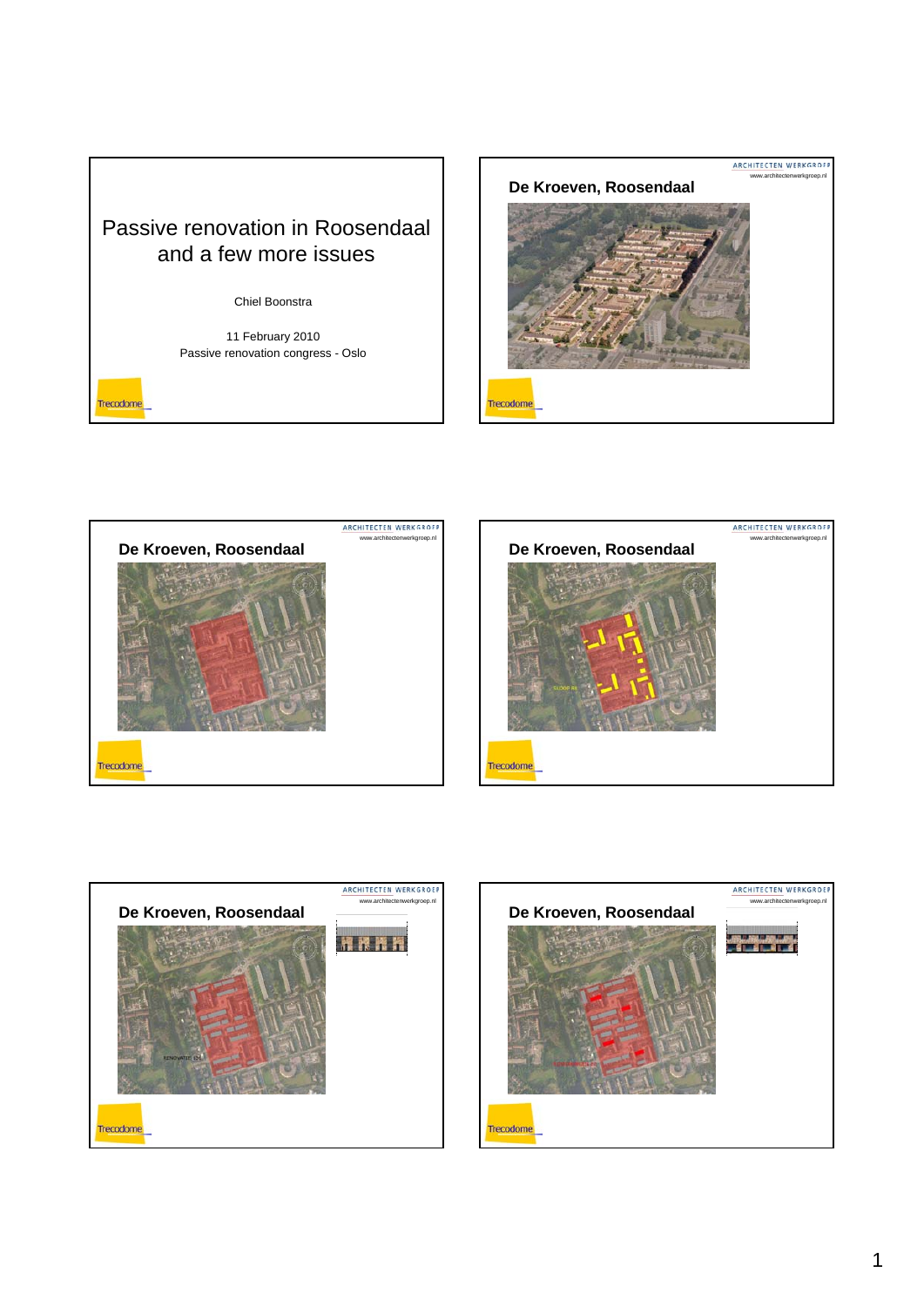

## Chiel Boonstra

11 February 2010 Passive renovation congress - Oslo

Trecodome









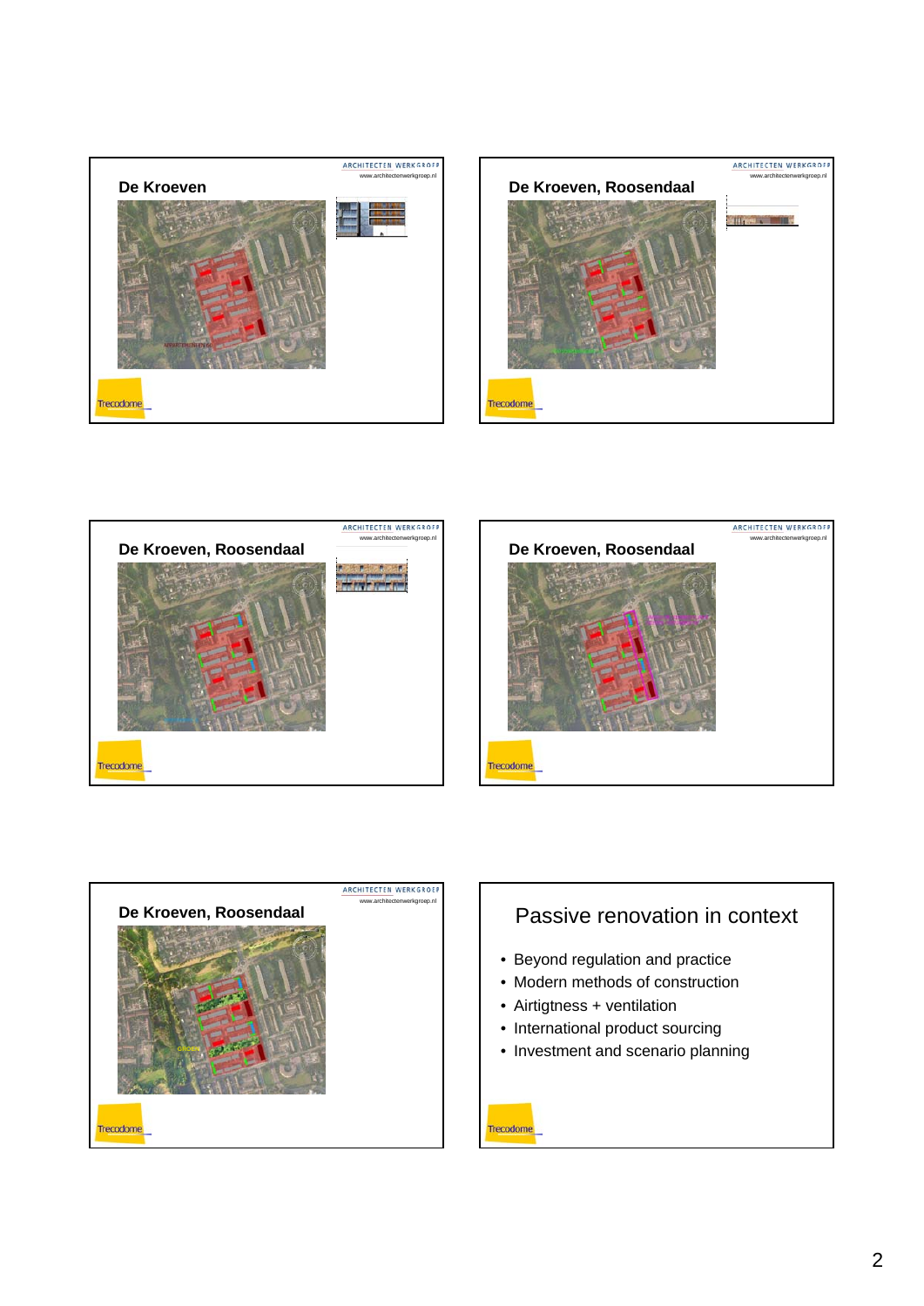







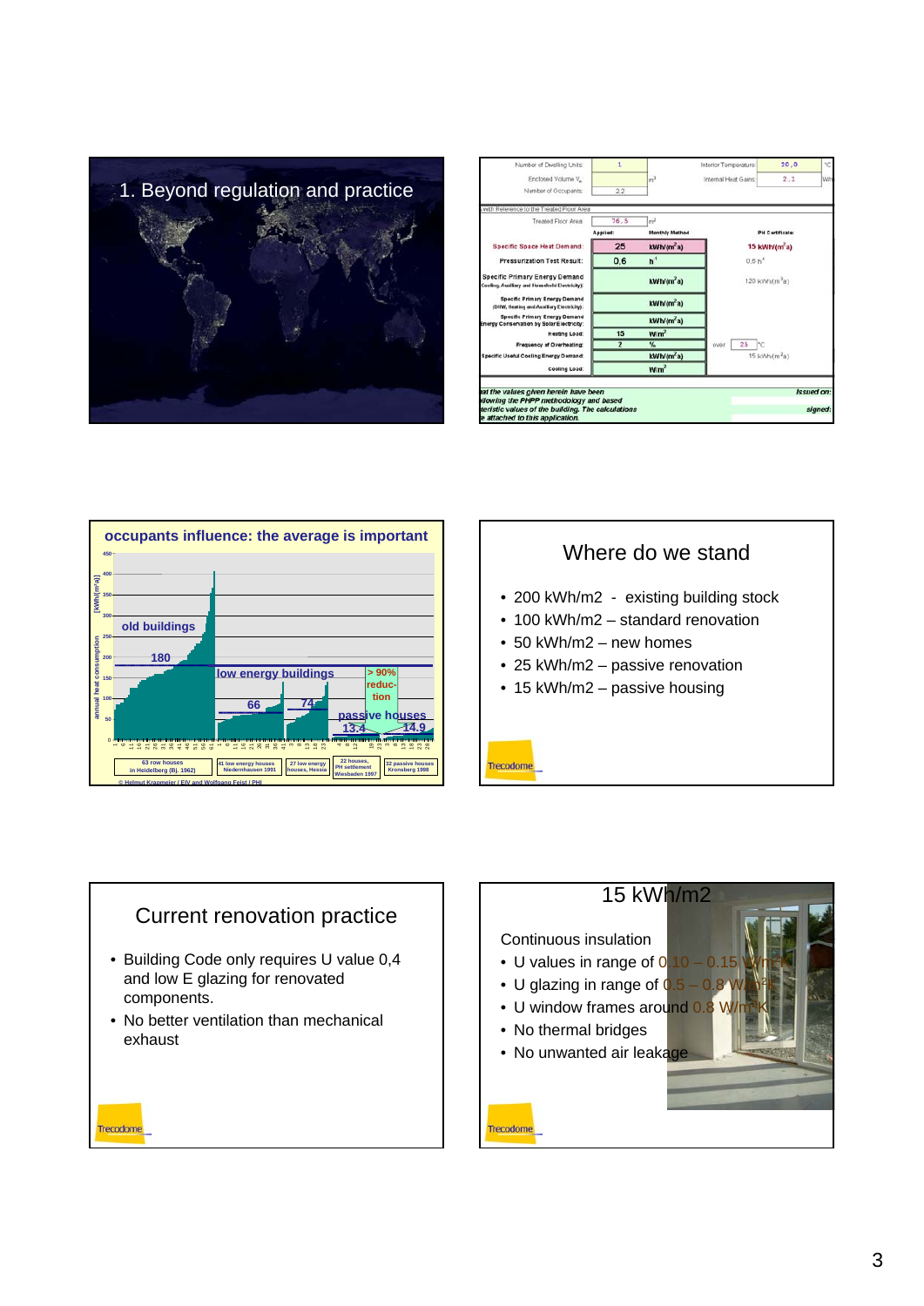

| Number of Dwelling Units:                                                          | 1              |                        | Interior Temperature | 20.0                       | °C  |  |
|------------------------------------------------------------------------------------|----------------|------------------------|----------------------|----------------------------|-----|--|
| Enclosed Volume V.                                                                 |                | m <sup>3</sup>         | Internal Heat Gains  | 2,1                        | Wir |  |
| Number of Occupants:                                                               | 2.2            |                        |                      |                            |     |  |
| with Reference to the Treated Floor Area                                           |                |                        |                      |                            |     |  |
| Treated Floor Area:                                                                | 76.5           | m <sup>2</sup>         |                      |                            |     |  |
|                                                                                    | Applied:       | Monthly Method         |                      | <b>PH Certificate:</b>     |     |  |
| <b>Specific Space Heat Demand:</b>                                                 | 25             | kWh(m <sup>2</sup> a)  |                      | 15 kWh/(m <sup>2</sup> a)  |     |  |
| <b>Pressurization Test Result:</b>                                                 | 0,6            | h <sup>1</sup>         | 0.6 h <sup>4</sup>   |                            |     |  |
| Specific Primary Energy Demand<br>Cooling, Auxiliary and Household Electricity);   |                | kWh/(m <sup>2</sup> a) |                      | 120 kWh/(m <sup>2</sup> a) |     |  |
| Specific Primary Energy Demand<br>(DHW, Heating and Auxiliary Electricity):        |                | kWh(m <sup>2</sup> a)  |                      |                            |     |  |
| <b>Specific Primary Energy Demand</b><br>Energy Conservation by Solar Electricity: |                | kWh/(m <sup>2</sup> a) |                      |                            |     |  |
| Heating Load:                                                                      | 15             | W/m <sup>2</sup>       |                      |                            |     |  |
| Frequency of Overheating:                                                          | $\overline{2}$ | $\frac{9}{4}$          | 25<br>Inc.<br>over   |                            |     |  |
| <b>Specific Useful Cooling Energy Demand:</b>                                      |                | kWh/(m <sup>2</sup> a) |                      | 15 kWh/(m <sup>2</sup> a)  |     |  |
|                                                                                    |                | W/m <sup>2</sup>       |                      |                            |     |  |





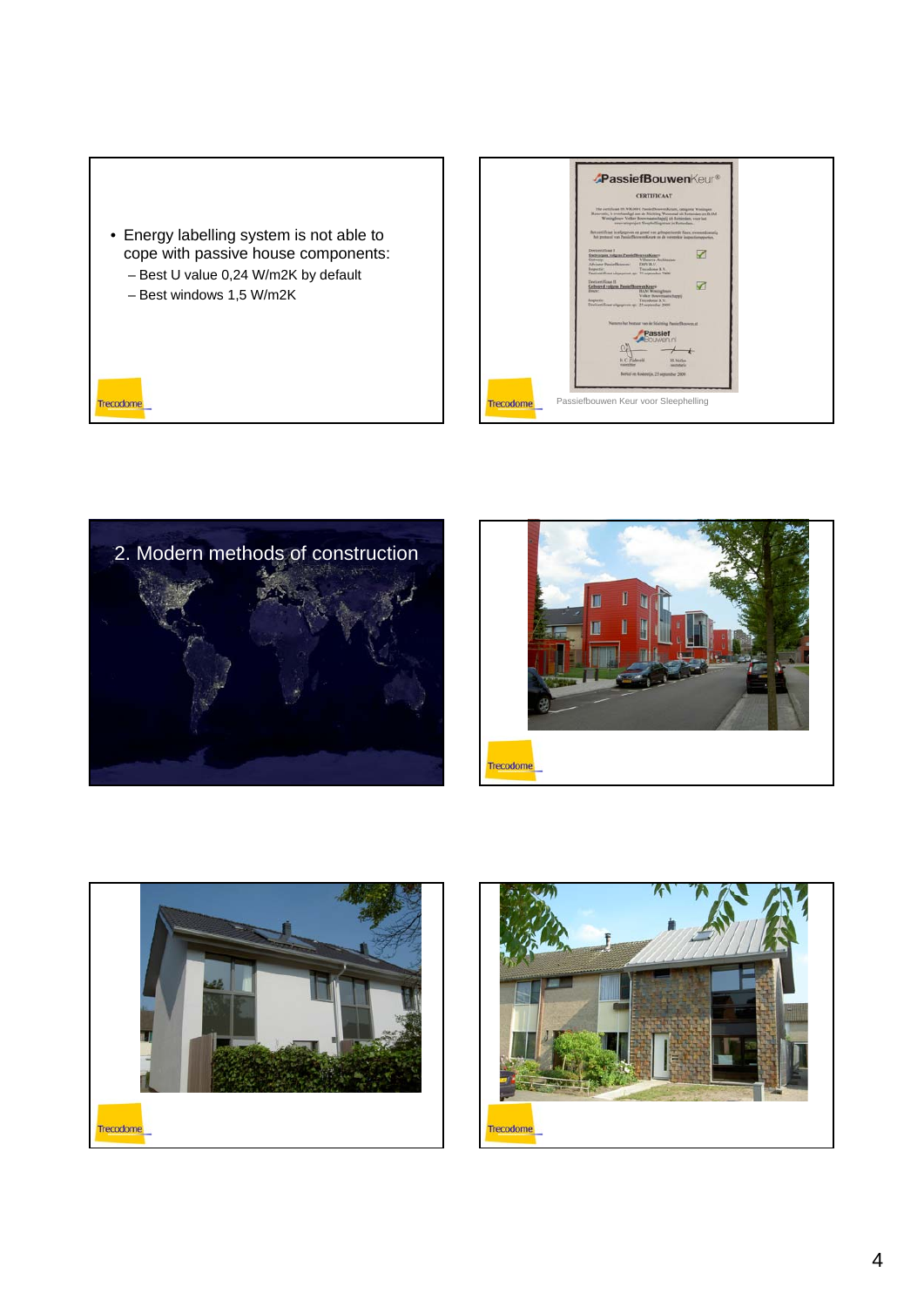• Energy labelling system is not able to cope with passive house components: – Best U value 0,24 W/m2K by default – Best windows 1,5 W/m2K Trecodome

| <b>CERTIFICAAT</b>                                                                                                                                                                                                                                                                                          |  |
|-------------------------------------------------------------------------------------------------------------------------------------------------------------------------------------------------------------------------------------------------------------------------------------------------------------|--|
| Het zertificant 09. NOL000 C Pareiet Dowere Kirure, categoriz Woningen<br>Reportatio, is procharabled ant de Stichting Woosenal uit Rotundam an BAM<br>Woningboow Volker Boosenageshappij uit Romindam, voor het<br>reservateproject Slauphellingstraat in Rettendam.                                       |  |
| The contificant is adjugated op growd van gebogectoorde fasce, evenweakonselig<br>hat protecul van Passiefficerwerkeurt zu de verenskie inspectiongsporten.<br>Deelowkilload I.<br>Oatmorgam volgans PassisfilownexKoars<br>Villanova Anchinesten:<br>Outware<br>Advisor Paniethnown:<br><b>DRIVING</b>     |  |
| Tracedone B.V.<br>Interestia:<br>Declinivilland situations in: 21 annivalse 2009<br>Declared Frank II<br>Geboord volgens PassiefBonwenKear-<br><b>Back</b> :<br><b>HAM Woodnghours</b><br>Volker Bouversatischappij<br>Traundoms B.V.<br>Shipingian<br>Divisioni ficant altgregorous ray: 25 september 2009 |  |
| Namens but because you sie Stickting PassietDownstout<br>Passief<br>DI JAKIO DI                                                                                                                                                                                                                             |  |
| <b>H.C. Zisleveld</b><br>H. Nielles<br><b><i><u>ESPERAN</u></i></b><br>heatstaria<br>Berkel at Radowijk, 21 september 2001                                                                                                                                                                                  |  |







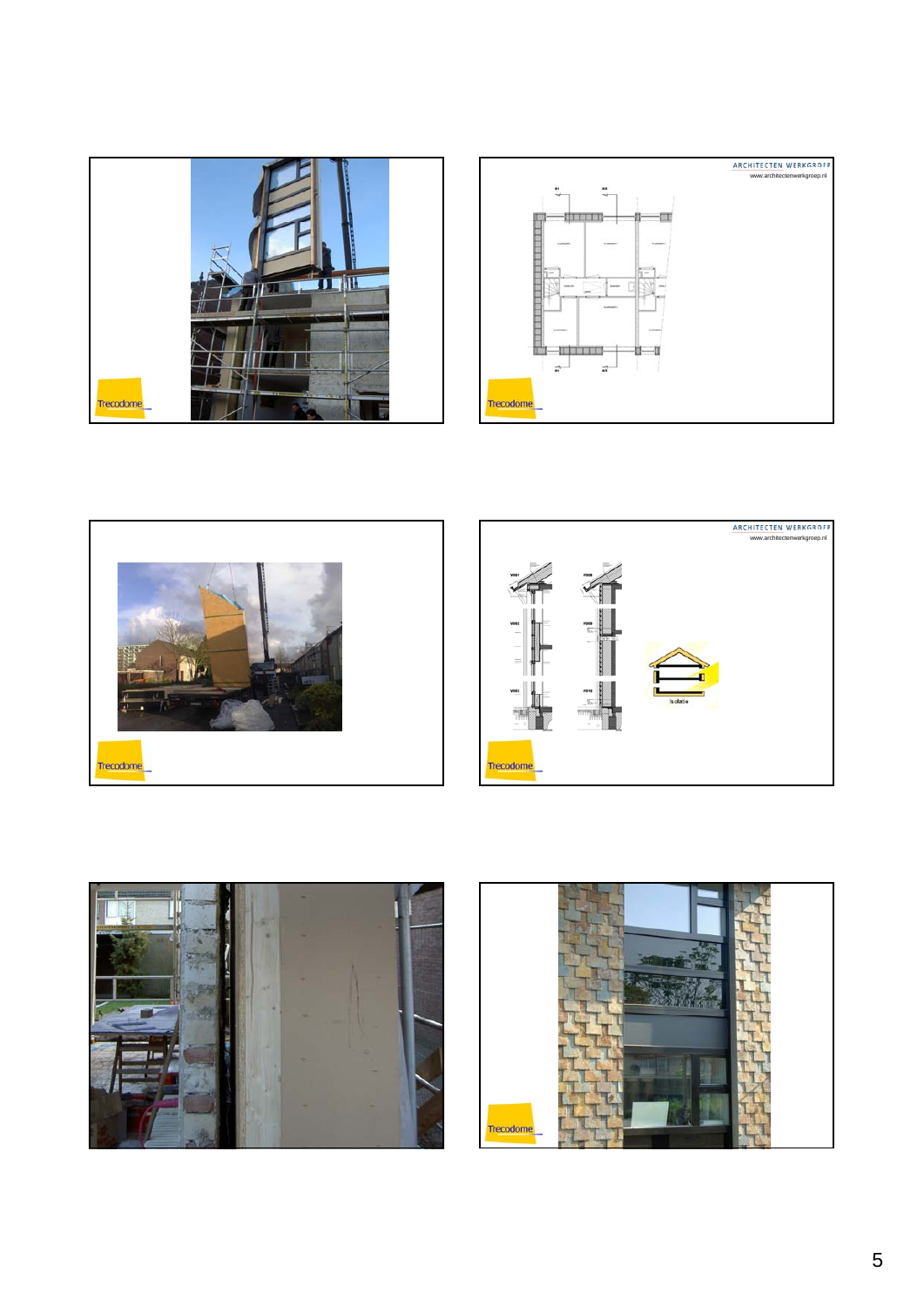







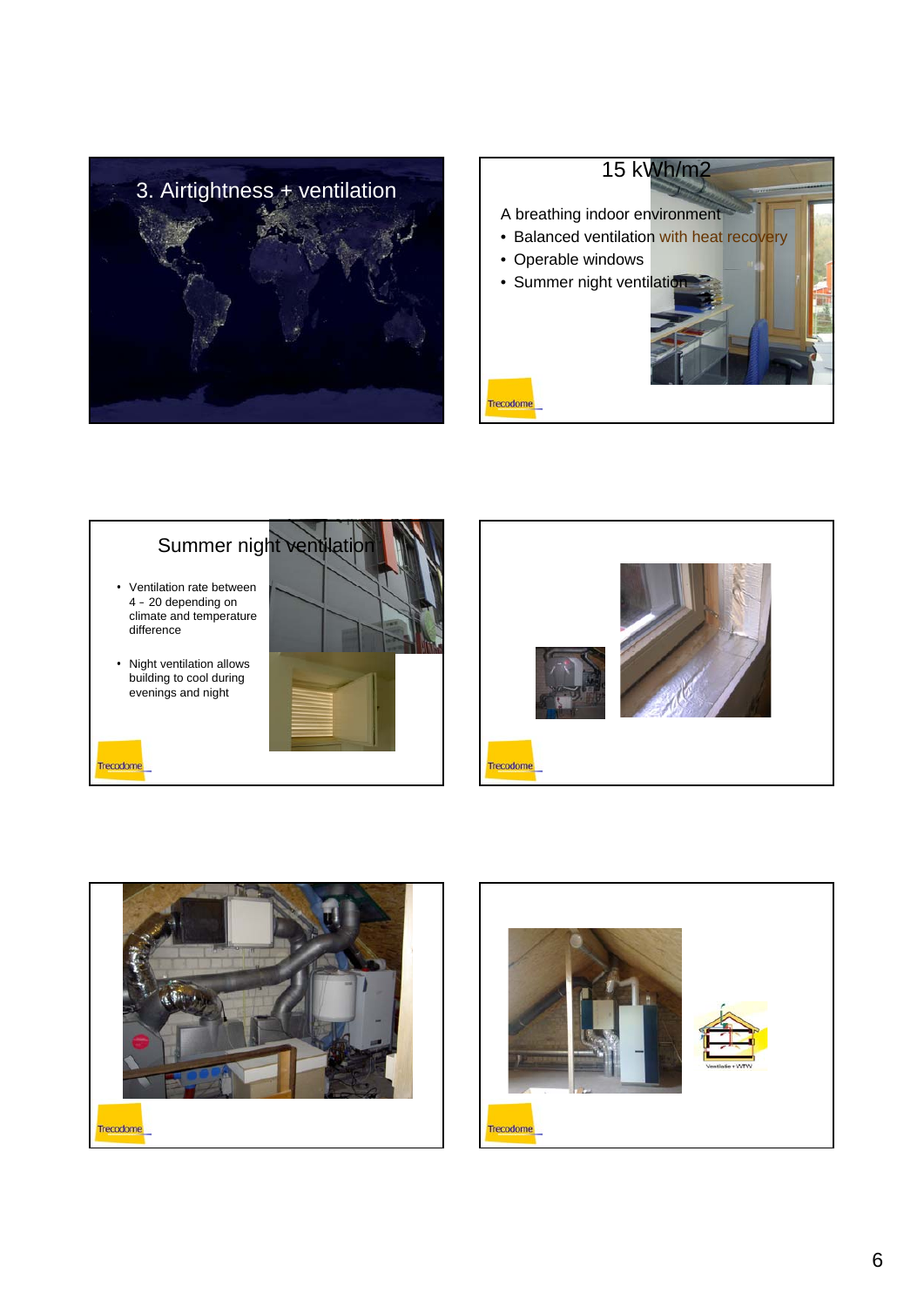









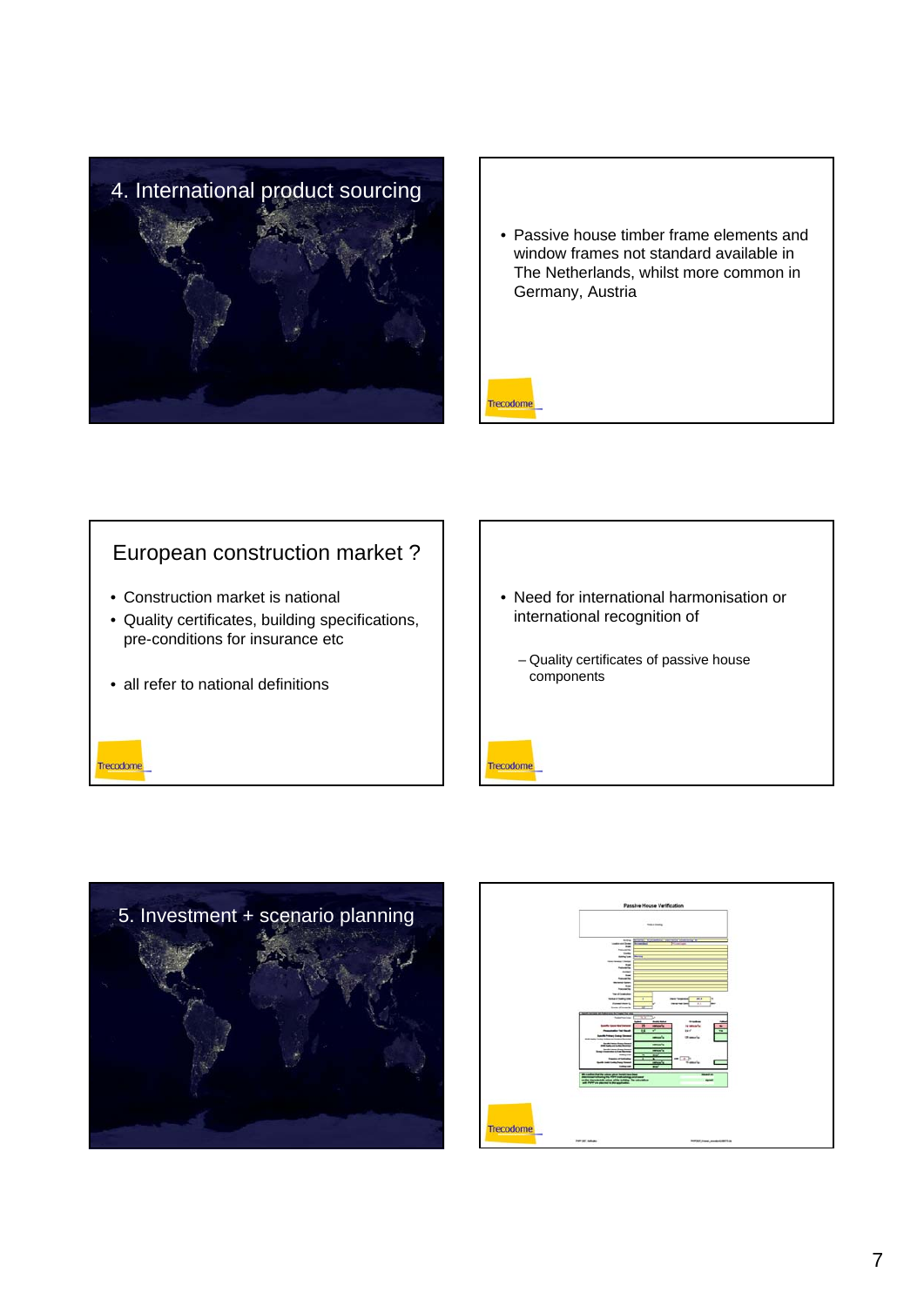

• Passive house timber frame elements and window frames not standard available in The Netherlands, whilst more common in Germany, Austria



## European construction market ?

- Construction market is national
- Quality certificates, building specifications, pre-conditions for insurance etc
- all refer to national definitions

Trecodome

• Need for international harmonisation or international recognition of – Quality certificates of passive house components Trecodome



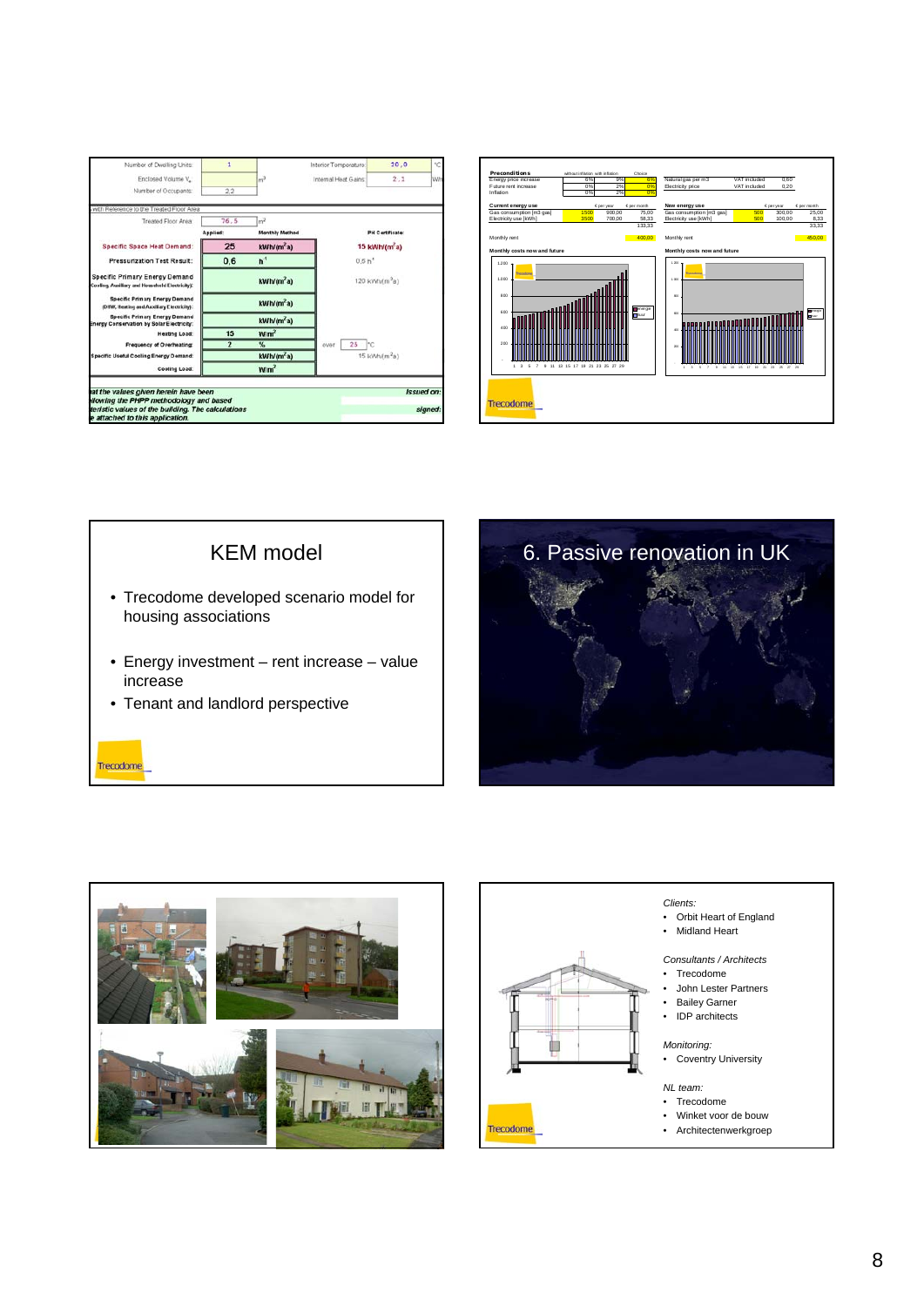